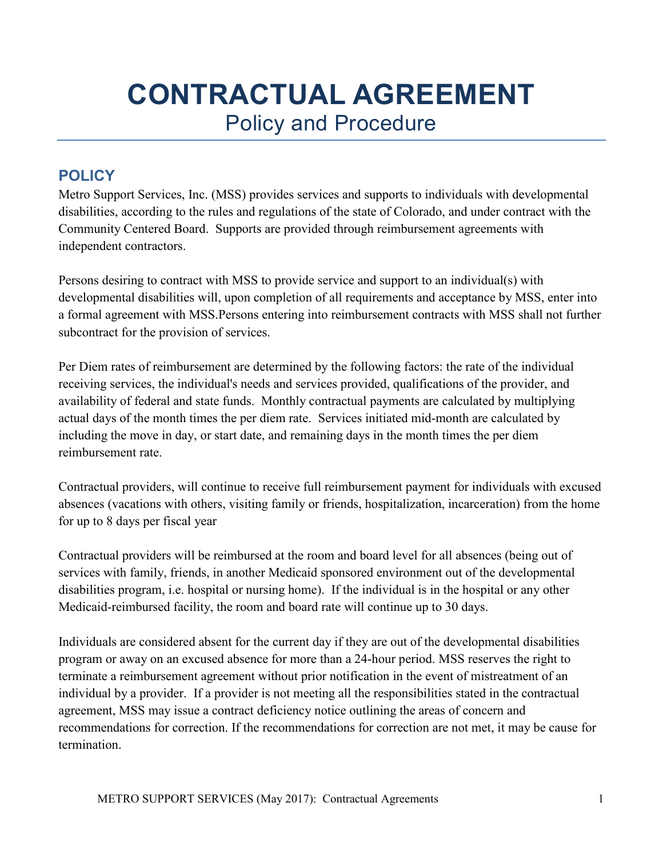## **CONTRACTUAL AGREEMENT**  Policy and Procedure

## **POLICY**

Metro Support Services, Inc. (MSS) provides services and supports to individuals with developmental disabilities, according to the rules and regulations of the state of Colorado, and under contract with the Community Centered Board. Supports are provided through reimbursement agreements with independent contractors.

Persons desiring to contract with MSS to provide service and support to an individual(s) with developmental disabilities will, upon completion of all requirements and acceptance by MSS, enter into a formal agreement with MSS.Persons entering into reimbursement contracts with MSS shall not further subcontract for the provision of services.

Per Diem rates of reimbursement are determined by the following factors: the rate of the individual receiving services, the individual's needs and services provided, qualifications of the provider, and availability of federal and state funds. Monthly contractual payments are calculated by multiplying actual days of the month times the per diem rate. Services initiated mid-month are calculated by including the move in day, or start date, and remaining days in the month times the per diem reimbursement rate.

Contractual providers, will continue to receive full reimbursement payment for individuals with excused absences (vacations with others, visiting family or friends, hospitalization, incarceration) from the home for up to 8 days per fiscal year

Contractual providers will be reimbursed at the room and board level for all absences (being out of services with family, friends, in another Medicaid sponsored environment out of the developmental disabilities program, i.e. hospital or nursing home). If the individual is in the hospital or any other Medicaid-reimbursed facility, the room and board rate will continue up to 30 days.

Individuals are considered absent for the current day if they are out of the developmental disabilities program or away on an excused absence for more than a 24-hour period. MSS reserves the right to terminate a reimbursement agreement without prior notification in the event of mistreatment of an individual by a provider. If a provider is not meeting all the responsibilities stated in the contractual agreement, MSS may issue a contract deficiency notice outlining the areas of concern and recommendations for correction. If the recommendations for correction are not met, it may be cause for termination.